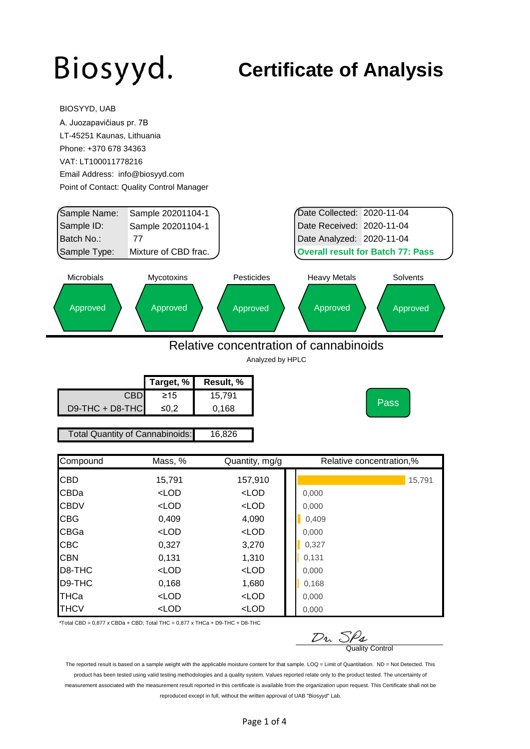BIOSYYD, UAB

### **Certificate of Analysis**

| A. Juozapavičiaus pr. 7B   |                                                                         |                                        |                                          |                          |
|----------------------------|-------------------------------------------------------------------------|----------------------------------------|------------------------------------------|--------------------------|
| LT-45251 Kaunas, Lithuania |                                                                         |                                        |                                          |                          |
| Phone: +370 678 34363      |                                                                         |                                        |                                          |                          |
| VAT: LT100011778216        |                                                                         |                                        |                                          |                          |
|                            | Email Address: info@biosyyd.com                                         |                                        |                                          |                          |
|                            | Point of Contact: Quality Control Manager                               |                                        |                                          |                          |
|                            |                                                                         |                                        |                                          |                          |
| Sample Name:               | Sample 20201104-1                                                       |                                        | Date Collected: 2020-11-04               |                          |
| Sample ID:                 | Sample 20201104-1                                                       |                                        | Date Received: 2020-11-04                |                          |
| Batch No.:                 | 77                                                                      |                                        | Date Analyzed: 2020-11-04                |                          |
| Sample Type:               | Mixture of CBD frac.                                                    |                                        | <b>Overall result for Batch 77: Pass</b> |                          |
|                            |                                                                         |                                        |                                          |                          |
| <b>Microbials</b>          | Mycotoxins                                                              | Pesticides                             | <b>Heavy Metals</b>                      | Solvents                 |
|                            |                                                                         |                                        |                                          |                          |
| Approved                   | Approved                                                                | Approved                               | Approved                                 | Approved                 |
|                            |                                                                         |                                        |                                          |                          |
|                            |                                                                         |                                        |                                          |                          |
|                            |                                                                         |                                        |                                          |                          |
|                            |                                                                         |                                        |                                          |                          |
|                            |                                                                         | Relative concentration of cannabinoids |                                          |                          |
|                            |                                                                         | Analyzed by HPLC                       |                                          |                          |
|                            | Target, %                                                               | Result, %                              |                                          |                          |
|                            | <b>CBD</b><br>$\geq 15$                                                 | 15,791                                 |                                          |                          |
| D9-THC + D8-THC            | ≤0,2                                                                    | 0,168                                  |                                          | Pass                     |
|                            |                                                                         |                                        |                                          |                          |
|                            | <b>Total Quantity of Cannabinoids:</b>                                  | 16,826                                 |                                          |                          |
|                            |                                                                         |                                        |                                          |                          |
| Compound                   | Mass, %                                                                 | Quantity, mg/g                         |                                          | Relative concentration,% |
|                            |                                                                         |                                        |                                          |                          |
| CBD                        | 15,791                                                                  | 157,910                                |                                          | 15,791                   |
| CBDa                       | $<$ LOD                                                                 | $<$ LOD                                | 0,000                                    |                          |
| <b>CBDV</b>                | <lod< td=""><td><math>&lt;</math>LOD</td><td>0,000</td><td></td></lod<> | $<$ LOD                                | 0,000                                    |                          |
| <b>CBG</b>                 | 0,409                                                                   | 4,090                                  | 0,409                                    |                          |
| CBGa                       | $<$ LOD                                                                 | $<$ LOD                                | 0,000                                    |                          |
| <b>CBC</b>                 | 0,327                                                                   | 3,270                                  | 0,327                                    |                          |
| <b>CBN</b>                 | 0,131                                                                   | 1,310                                  | 0,131                                    |                          |
| D8-THC<br>D9-THC           | $<$ LOD                                                                 | $<$ LOD                                | 0,000                                    |                          |
| THCa                       | 0,168<br>$<$ LOD                                                        | 1,680<br>$<$ LOD                       | 0,168<br>0,000                           |                          |

\*Total CBD =  $0,877$  x CBDa + CBD; Total THC =  $0,877$  x THCa + D9-THC + D8-THC

 $\n *D*$ *v.*  $\frac{S}{\sqrt{2}}$  Quality Control

The reported result is based on a sample weight with the applicable moisture content for that sample. LOQ = Limit of Quantitation. ND = Not Detected. This product has been tested using valid testing methodologies and a quality system. Values reported relate only to the product tested. The uncertainty of measurement associated with the measurement result reported in this certificate is available from the organization upon request. This Certificate shall not be reproduced except in full, without the written approval of UAB "Biosyyd" Lab.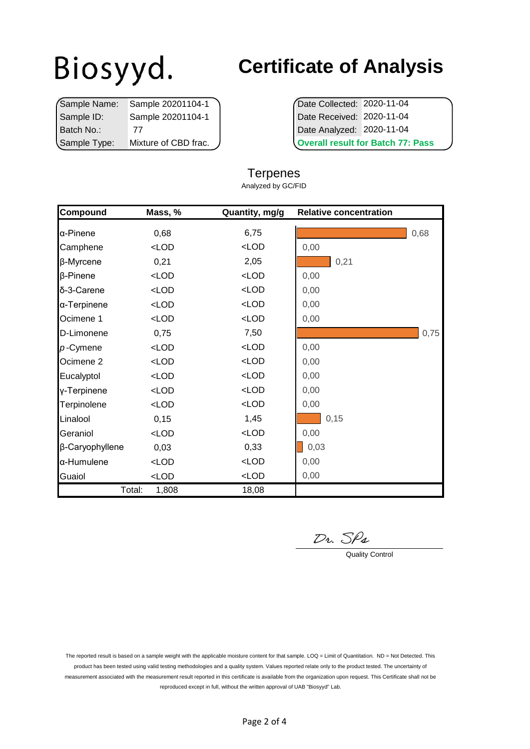|              | Sample Name: Sample 20201104-1 | Date Collected: 2020-11-04         |  |
|--------------|--------------------------------|------------------------------------|--|
| Sample ID:   | Sample 20201104-1              | Date Received: 2020-11-04          |  |
| Batch No.:   |                                | Date Analyzed: 2020-11-04          |  |
| Sample Type: | Mixture of CBD frac.           | <b>Overall result for Batch 77</b> |  |

## **Certificate of Analysis**

**Overall result for Batch 77: Pass** 

| Compound             | Mass, % | Quantity, mg/g | <b>Relative concentration</b> |      |
|----------------------|---------|----------------|-------------------------------|------|
| α-Pinene             | 0,68    | 6,75           |                               | 0,68 |
| Camphene             | $<$ LOD | $<$ LOD        | 0,00                          |      |
| β-Myrcene            | 0,21    | 2,05           | 0,21                          |      |
| $\beta$ -Pinene      | $<$ LOD | $<$ LOD        | 0,00                          |      |
| δ-3-Carene           | $<$ LOD | $<$ LOD        | 0,00                          |      |
| α-Terpinene          | $<$ LOD | $<$ LOD        | 0,00                          |      |
| Ocimene 1            | $<$ LOD | $<$ LOD        | 0,00                          |      |
| D-Limonene           | 0,75    | 7,50           |                               | 0,75 |
| $p$ -Cymene          | $<$ LOD | $<$ LOD        | 0,00                          |      |
| Ocimene <sub>2</sub> | $<$ LOD | $<$ LOD        | 0,00                          |      |
| Eucalyptol           | $<$ LOD | $<$ LOD        | 0,00                          |      |
| y-Terpinene          | $<$ LOD | $<$ LOD        | 0,00                          |      |
| Terpinolene          | $<$ LOD | $<$ LOD        | 0,00                          |      |
| Linalool             | 0,15    | 1,45           | 0,15                          |      |
| Geraniol             | $<$ LOD | $<$ LOD        | 0,00                          |      |
| β-Caryophyllene      | 0,03    | 0,33           | 0,03                          |      |
| α-Humulene           | $<$ LOD | $<$ LOD        | 0,00                          |      |
| Guaiol               | LOD     | $<$ LOD        | 0,00                          |      |
| Total:               | 1,808   | 18,08          |                               |      |

#### **Terpenes**

Analyzed by GC/FID

 $\n *D*$ *v.*  $S$  $\rho$ *4*  $\overline{Q}$  Quality Control

The reported result is based on a sample weight with the applicable moisture content for that sample. LOQ = Limit of Quantitation. ND = Not Detected. This product has been tested using valid testing methodologies and a quality system. Values reported relate only to the product tested. The uncertainty of measurement associated with the measurement result reported in this certificate is available from the organization upon request. This Certificate shall not be reproduced except in full, without the written approval of UAB "Biosyyd" Lab.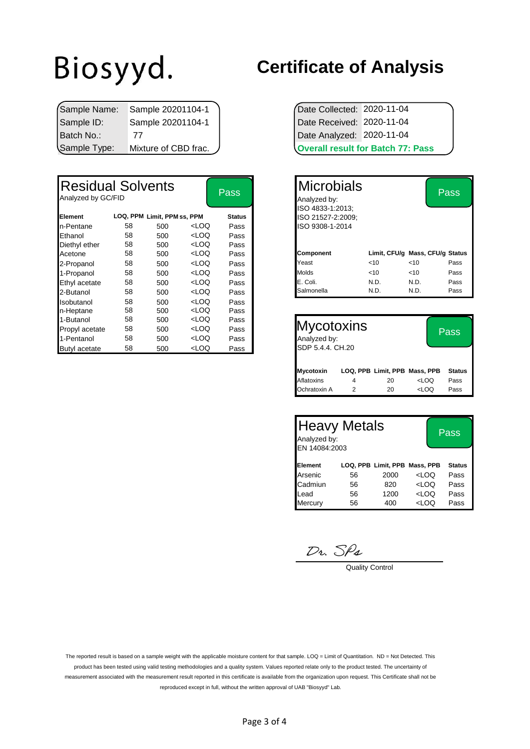|              | Sample Name: Sample 20201104-1 | Date Collected: 2020-11-04 |                                          |
|--------------|--------------------------------|----------------------------|------------------------------------------|
| Sample ID:   | Sample 20201104-1              | Date Received: 2020-11-04  |                                          |
| Batch No.:   |                                | Date Analyzed: 2020-11-04  |                                          |
| Sample Type: | Mixture of CBD frac.           |                            | <b>Overall result for Batch 77: Pass</b> |

| <b>Residual Solvents</b><br>Analyzed by GC/FID |    |                             |                                                                                                                     | <b>Pass</b>   | <b>Microbials</b><br>Analyzed by:<br>ISO 4833-1:2013; |      |        | <b>Pass</b>                     |
|------------------------------------------------|----|-----------------------------|---------------------------------------------------------------------------------------------------------------------|---------------|-------------------------------------------------------|------|--------|---------------------------------|
| Element                                        |    | LOQ, PPM Limit, PPM ss, PPM |                                                                                                                     | <b>Status</b> | ISO 21527-2:2009;                                     |      |        |                                 |
| n-Pentane                                      | 58 | 500                         | <loq< td=""><td>Pass</td><td>ISO 9308-1-2014</td><td></td><td></td><td></td></loq<>                                 | Pass          | ISO 9308-1-2014                                       |      |        |                                 |
| Ethanol                                        | 58 | 500                         | <loq< td=""><td>Pass</td><td></td><td></td><td></td><td></td></loq<>                                                | Pass          |                                                       |      |        |                                 |
| Diethyl ether                                  | 58 | 500                         | <loq< td=""><td>Pass</td><td></td><td></td><td></td><td></td></loq<>                                                | Pass          |                                                       |      |        |                                 |
| Acetone                                        | 58 | 500                         | <loq< td=""><td>Pass</td><td><b>Component</b></td><td></td><td></td><td>Limit, CFU/g Mass, CFU/g Status</td></loq<> | Pass          | <b>Component</b>                                      |      |        | Limit, CFU/g Mass, CFU/g Status |
| 2-Propanol                                     | 58 | 500                         | <loq< td=""><td>Pass</td><td>Yeast</td><td>&lt; 10</td><td><math>&lt;</math>10</td><td>Pass</td></loq<>             | Pass          | Yeast                                                 | < 10 | $<$ 10 | Pass                            |
| 1-Propanol                                     | 58 | 500                         | <loq< td=""><td>Pass</td><td>Molds</td><td>&lt; 10</td><td><math>&lt;</math>10</td><td>Pass</td></loq<>             | Pass          | Molds                                                 | < 10 | $<$ 10 | Pass                            |
| Ethyl acetate                                  | 58 | 500                         | <loq< td=""><td>Pass</td><td>E. Coli.</td><td>N.D.</td><td>N.D.</td><td>Pass</td></loq<>                            | Pass          | E. Coli.                                              | N.D. | N.D.   | Pass                            |
| 2-Butanol                                      | 58 | 500                         | <loq< td=""><td>Pass</td><td>Salmonella</td><td>N.D.</td><td>N.D.</td><td>Pass</td></loq<>                          | Pass          | Salmonella                                            | N.D. | N.D.   | Pass                            |
| Isobutanol                                     | 58 | 500                         | <loq< td=""><td>Pass</td><td></td><td></td><td></td><td></td></loq<>                                                | Pass          |                                                       |      |        |                                 |
| n-Heptane                                      | 58 | 500                         | <loq< td=""><td>Pass</td><td></td><td></td><td></td><td></td></loq<>                                                | Pass          |                                                       |      |        |                                 |
| 1-Butanol                                      | 58 | 500                         | <loq< td=""><td>Pass</td><td></td><td></td><td></td><td></td></loq<>                                                | Pass          |                                                       |      |        |                                 |
| Propyl acetate                                 | 58 | 500                         | <loq< td=""><td>Pass</td><td><b>Mycotoxins</b></td><td></td><td></td><td>Pass</td></loq<>                           | Pass          | <b>Mycotoxins</b>                                     |      |        | Pass                            |
| 1-Pentanol                                     | 58 | 500                         | <loq< td=""><td>Pass</td><td>Analyzed by:</td><td></td><td></td><td></td></loq<>                                    | Pass          | Analyzed by:                                          |      |        |                                 |
| <b>Butyl</b> acetate                           | 58 | 500                         | <loq< td=""><td>Pass</td><td>SDP 5.4.4. CH.20</td><td></td><td></td><td></td></loq<>                                | Pass          | SDP 5.4.4. CH.20                                      |      |        |                                 |

#### **Certificate of Analysis**

| <b>Overall result for Batch 77: Pass</b> |  |  |  |  |
|------------------------------------------|--|--|--|--|
| Date Analyzed: 2020-11-04                |  |  |  |  |
| Date Received: 2020-11-04                |  |  |  |  |
| Date Collected: 2020-11-04               |  |  |  |  |

| Pass          |                  | Microbials<br>Analyzed by:            |      |                                 | Pass |
|---------------|------------------|---------------------------------------|------|---------------------------------|------|
| <b>Status</b> |                  | ISO 4833-1:2013:<br>ISO 21527-2:2009; |      |                                 |      |
| Pass          |                  | ISO 9308-1-2014                       |      |                                 |      |
| Pass          |                  |                                       |      |                                 |      |
| Pass          |                  |                                       |      |                                 |      |
| Pass          | <b>Component</b> |                                       |      | Limit, CFU/g Mass, CFU/g Status |      |
| Pass          | Yeast            |                                       | <10  | 10<                             | Pass |
| Pass          | <b>Molds</b>     |                                       | <10  | $10^{-1}$                       | Pass |
| Pass          | E. Coli.         |                                       | N.D. | N.D.                            | Pass |
| Pass          | Salmonella       |                                       | N.D. | N.D.                            | Pass |
| —             |                  |                                       |      |                                 |      |

| <b>Mycotoxins</b><br>Analyzed by:<br>SDP 5.4.4. CH.20 |   | Pass                          |                                  |               |
|-------------------------------------------------------|---|-------------------------------|----------------------------------|---------------|
| Mycotoxin                                             |   | LOQ, PPB Limit, PPB Mass, PPB |                                  | <b>Status</b> |
| Aflatoxins                                            | 4 | 20                            | <loq< td=""><td>Pass</td></loq<> | Pass          |
| Ochratoxin A                                          |   | 20                            | <loq< td=""><td>Pass</td></loq<> | Pass          |

| <b>Heavy Metals</b><br>Analyzed by:<br>EN 14084:2003 |    | Pass                          |                                  |               |
|------------------------------------------------------|----|-------------------------------|----------------------------------|---------------|
| Element                                              |    | LOQ, PPB Limit, PPB Mass, PPB |                                  | <b>Status</b> |
| Arsenic                                              | 56 | 2000                          | LOO                              | Pass          |
| Cadmiun                                              | 56 | 820                           | <loq< td=""><td>Pass</td></loq<> | Pass          |
| Lead                                                 | 56 | 1200                          | <loq< td=""><td>Pass</td></loq<> | Pass          |
| Mercury                                              | 56 | 400                           | <loq< td=""><td>Pass</td></loq<> | Pass          |

 $\frac{D_1}{D_2}$  Quality Control

The reported result is based on a sample weight with the applicable moisture content for that sample. LOQ = Limit of Quantitation. ND = Not Detected. This product has been tested using valid testing methodologies and a quality system. Values reported relate only to the product tested. The uncertainty of measurement associated with the measurement result reported in this certificate is available from the organization upon request. This Certificate shall not be reproduced except in full, without the written approval of UAB "Biosyyd" Lab.